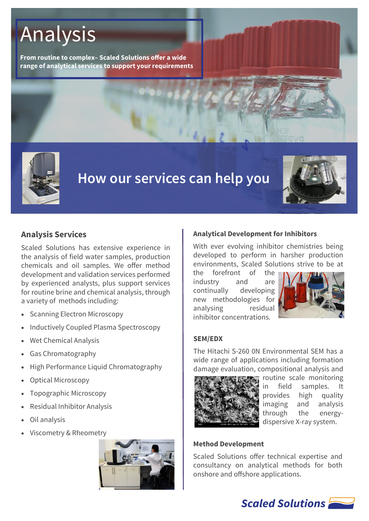# Analysis

**From routine to complex– Scaled Solutions offer a wide range of analytical services to support your requirements**



# **How our services can help you**



# **Analysis Services**

Scaled Solutions has extensive experience in the analysis of field water samples, production chemicals and oil samples. We offer method development and validation services performed by experienced analysts, plus support services for routine brine and chemical analysis, through a variety of methods including:

- Scanning Electron Microscopy
- Inductively Coupled Plasma Spectroscopy
- Wet Chemical Analysis
- Gas Chromatography
- High Performance Liquid Chromatography
- Optical Microscopy
- Topographic Microscopy
- Residual Inhibitor Analysis
- Oil analysis
- Viscometry & Rheometry



#### **Analytical Development for Inhibitors**

With ever evolving inhibitor chemistries being developed to perform in harsher production environments, Scaled Solutions strive to be at

the forefront of the industry and are continually developing new methodologies for analysing residual inhibitor concentrations.



#### **SEM/EDX**

The Hitachi S-260 0N Environmental SEM has a wide range of applications including formation damage evaluation, compositional analysis and



routine scale monitoring in field samples. It provides high quality imaging and analysis through the energydispersive X-ray system.

#### **Method Development**

Scaled Solutions offer technical expertise and consultancy on analytical methods for both onshore and offshore applications.